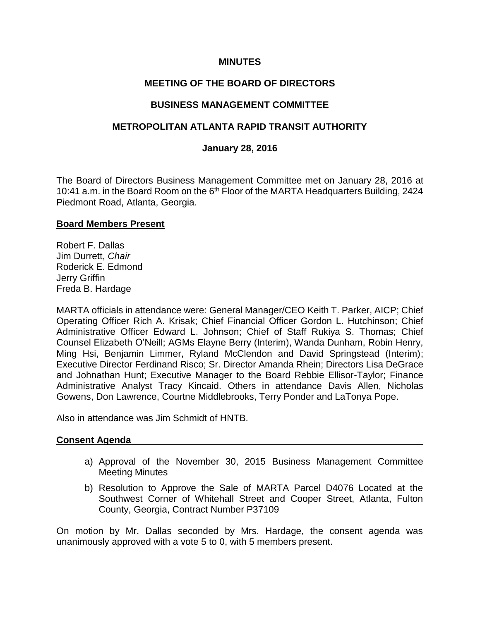### **MINUTES**

# **MEETING OF THE BOARD OF DIRECTORS**

### **BUSINESS MANAGEMENT COMMITTEE**

### **METROPOLITAN ATLANTA RAPID TRANSIT AUTHORITY**

#### **January 28, 2016**

The Board of Directors Business Management Committee met on January 28, 2016 at 10:41 a.m. in the Board Room on the 6<sup>th</sup> Floor of the MARTA Headquarters Building, 2424 Piedmont Road, Atlanta, Georgia.

#### **Board Members Present**

Robert F. Dallas Jim Durrett, *Chair*  Roderick E. Edmond Jerry Griffin Freda B. Hardage

MARTA officials in attendance were: General Manager/CEO Keith T. Parker, AICP; Chief Operating Officer Rich A. Krisak; Chief Financial Officer Gordon L. Hutchinson; Chief Administrative Officer Edward L. Johnson; Chief of Staff Rukiya S. Thomas; Chief Counsel Elizabeth O'Neill; AGMs Elayne Berry (Interim), Wanda Dunham, Robin Henry, Ming Hsi, Benjamin Limmer, Ryland McClendon and David Springstead (Interim); Executive Director Ferdinand Risco; Sr. Director Amanda Rhein; Directors Lisa DeGrace and Johnathan Hunt; Executive Manager to the Board Rebbie Ellisor-Taylor; Finance Administrative Analyst Tracy Kincaid. Others in attendance Davis Allen, Nicholas Gowens, Don Lawrence, Courtne Middlebrooks, Terry Ponder and LaTonya Pope.

Also in attendance was Jim Schmidt of HNTB.

#### **Consent Agenda**

- a) Approval of the November 30, 2015 Business Management Committee Meeting Minutes
- b) Resolution to Approve the Sale of MARTA Parcel D4076 Located at the Southwest Corner of Whitehall Street and Cooper Street, Atlanta, Fulton County, Georgia, Contract Number P37109

On motion by Mr. Dallas seconded by Mrs. Hardage, the consent agenda was unanimously approved with a vote 5 to 0, with 5 members present.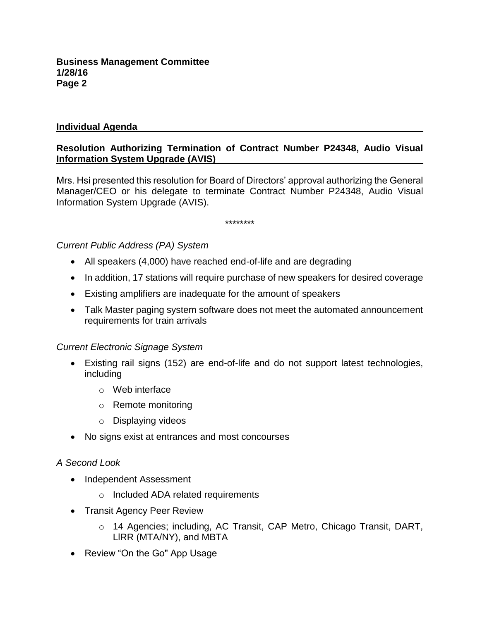# **Individual Agenda**

# **Resolution Authorizing Termination of Contract Number P24348, Audio Visual Information System Upgrade (AVIS)**

Mrs. Hsi presented this resolution for Board of Directors' approval authorizing the General Manager/CEO or his delegate to terminate Contract Number P24348, Audio Visual Information System Upgrade (AVIS).

\*\*\*\*\*\*\*\*

*Current Public Address (PA) System*

- All speakers (4,000) have reached end-of-life and are degrading
- In addition, 17 stations will require purchase of new speakers for desired coverage
- Existing amplifiers are inadequate for the amount of speakers
- Talk Master paging system software does not meet the automated announcement requirements for train arrivals

## *Current Electronic Signage System*

- Existing rail signs (152) are end-of-life and do not support latest technologies, including
	- o Web interface
	- o Remote monitoring
	- o Displaying videos
- No signs exist at entrances and most concourses

## *A Second Look*

- Independent Assessment
	- o Included ADA related requirements
- Transit Agency Peer Review
	- o 14 Agencies; including, AC Transit, CAP Metro, Chicago Transit, DART, LlRR (MTA/NY), and MBTA
- Review "On the Go" App Usage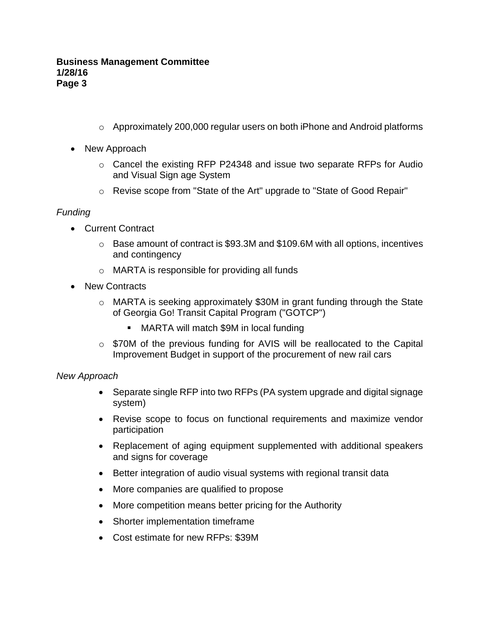- $\circ$  Approximately 200,000 regular users on both iPhone and Android platforms
- New Approach
	- o Cancel the existing RFP P24348 and issue two separate RFPs for Audio and Visual Sign age System
	- o Revise scope from "State of the Art" upgrade to "State of Good Repair"

## *Funding*

- Current Contract
	- o Base amount of contract is \$93.3M and \$109.6M with all options, incentives and contingency
	- o MARTA is responsible for providing all funds
- New Contracts
	- o MARTA is seeking approximately \$30M in grant funding through the State of Georgia Go! Transit Capital Program ("GOTCP")
		- MARTA will match \$9M in local funding
	- o \$70M of the previous funding for AVIS will be reallocated to the Capital Improvement Budget in support of the procurement of new rail cars

## *New Approach*

- Separate single RFP into two RFPs (PA system upgrade and digital signage system)
- Revise scope to focus on functional requirements and maximize vendor participation
- Replacement of aging equipment supplemented with additional speakers and signs for coverage
- Better integration of audio visual systems with regional transit data
- More companies are qualified to propose
- More competition means better pricing for the Authority
- Shorter implementation timeframe
- Cost estimate for new RFPs: \$39M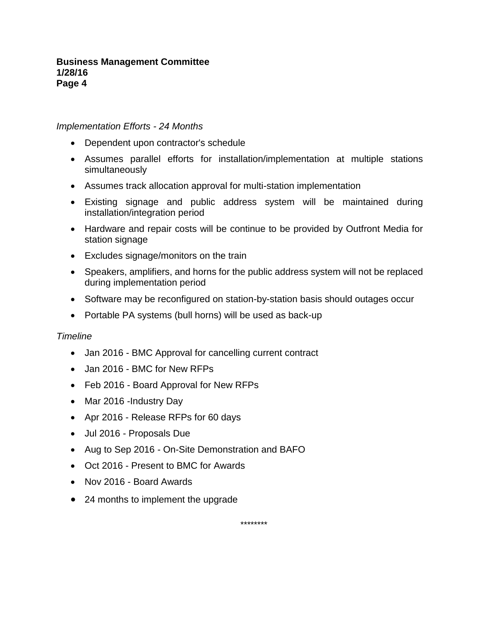#### **Business Management Committee 1/28/16 Page 4**

#### *Implementation Efforts - 24 Months*

- Dependent upon contractor's schedule
- Assumes parallel efforts for installation/implementation at multiple stations simultaneously
- Assumes track allocation approval for multi-station implementation
- Existing signage and public address system will be maintained during installation/integration period
- Hardware and repair costs will be continue to be provided by Outfront Media for station signage
- Excludes signage/monitors on the train
- Speakers, amplifiers, and horns for the public address system will not be replaced during implementation period
- Software may be reconfigured on station-by-station basis should outages occur
- Portable PA systems (bull horns) will be used as back-up

#### *Timeline*

- Jan 2016 BMC Approval for cancelling current contract
- Jan 2016 BMC for New RFPs
- Feb 2016 Board Approval for New RFPs
- Mar 2016 -Industry Day
- Apr 2016 Release RFPs for 60 days
- Jul 2016 Proposals Due
- Aug to Sep 2016 On-Site Demonstration and BAFO
- Oct 2016 Present to BMC for Awards
- Nov 2016 Board Awards
- 24 months to implement the upgrade

\*\*\*\*\*\*\*\*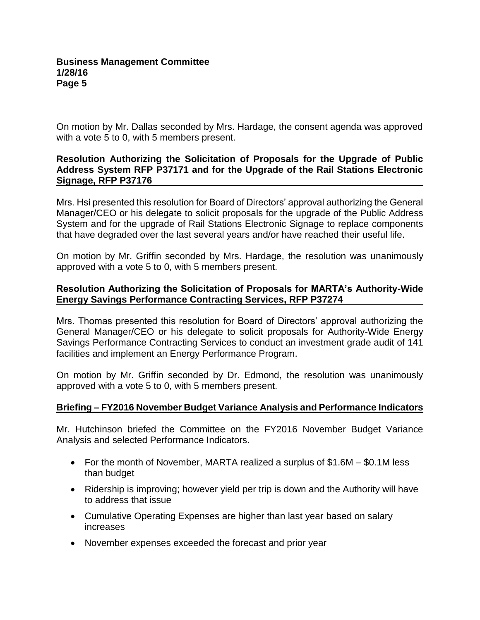On motion by Mr. Dallas seconded by Mrs. Hardage, the consent agenda was approved with a vote 5 to 0, with 5 members present.

## **Resolution Authorizing the Solicitation of Proposals for the Upgrade of Public Address System RFP P37171 and for the Upgrade of the Rail Stations Electronic Signage, RFP P37176**

Mrs. Hsi presented this resolution for Board of Directors' approval authorizing the General Manager/CEO or his delegate to solicit proposals for the upgrade of the Public Address System and for the upgrade of Rail Stations Electronic Signage to replace components that have degraded over the last several years and/or have reached their useful life.

On motion by Mr. Griffin seconded by Mrs. Hardage, the resolution was unanimously approved with a vote 5 to 0, with 5 members present.

## **Resolution Authorizing the Solicitation of Proposals for MARTA's Authority-Wide Energy Savings Performance Contracting Services, RFP P37274**

Mrs. Thomas presented this resolution for Board of Directors' approval authorizing the General Manager/CEO or his delegate to solicit proposals for Authority-Wide Energy Savings Performance Contracting Services to conduct an investment grade audit of 141 facilities and implement an Energy Performance Program.

On motion by Mr. Griffin seconded by Dr. Edmond, the resolution was unanimously approved with a vote 5 to 0, with 5 members present.

## **Briefing – FY2016 November Budget Variance Analysis and Performance Indicators**

Mr. Hutchinson briefed the Committee on the FY2016 November Budget Variance Analysis and selected Performance Indicators.

- For the month of November, MARTA realized a surplus of \$1.6M \$0.1M less than budget
- Ridership is improving; however yield per trip is down and the Authority will have to address that issue
- Cumulative Operating Expenses are higher than last year based on salary increases
- November expenses exceeded the forecast and prior year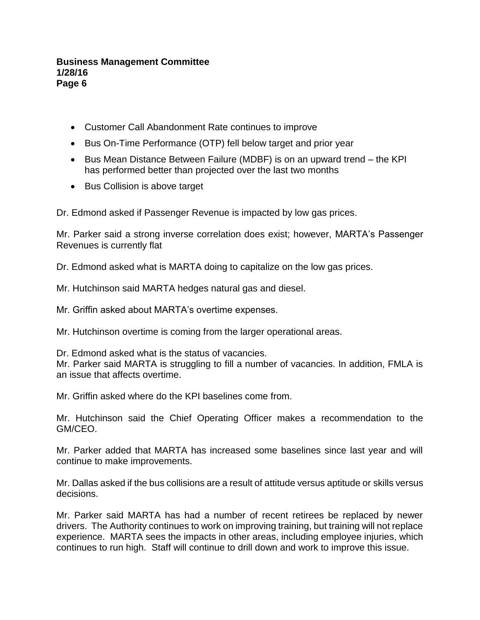#### **Business Management Committee 1/28/16 Page 6**

- Customer Call Abandonment Rate continues to improve
- Bus On-Time Performance (OTP) fell below target and prior year
- Bus Mean Distance Between Failure (MDBF) is on an upward trend the KPI has performed better than projected over the last two months
- Bus Collision is above target

Dr. Edmond asked if Passenger Revenue is impacted by low gas prices.

Mr. Parker said a strong inverse correlation does exist; however, MARTA's Passenger Revenues is currently flat

Dr. Edmond asked what is MARTA doing to capitalize on the low gas prices.

Mr. Hutchinson said MARTA hedges natural gas and diesel.

Mr. Griffin asked about MARTA's overtime expenses.

Mr. Hutchinson overtime is coming from the larger operational areas.

Dr. Edmond asked what is the status of vacancies.

Mr. Parker said MARTA is struggling to fill a number of vacancies. In addition, FMLA is an issue that affects overtime.

Mr. Griffin asked where do the KPI baselines come from.

Mr. Hutchinson said the Chief Operating Officer makes a recommendation to the GM/CEO.

Mr. Parker added that MARTA has increased some baselines since last year and will continue to make improvements.

Mr. Dallas asked if the bus collisions are a result of attitude versus aptitude or skills versus decisions.

Mr. Parker said MARTA has had a number of recent retirees be replaced by newer drivers. The Authority continues to work on improving training, but training will not replace experience. MARTA sees the impacts in other areas, including employee injuries, which continues to run high. Staff will continue to drill down and work to improve this issue.